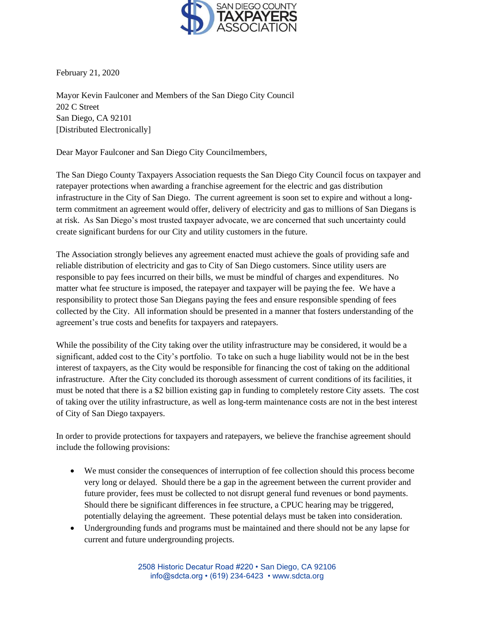

February 21, 2020

Mayor Kevin Faulconer and Members of the San Diego City Council 202 C Street San Diego, CA 92101 [Distributed Electronically]

Dear Mayor Faulconer and San Diego City Councilmembers,

The San Diego County Taxpayers Association requests the San Diego City Council focus on taxpayer and ratepayer protections when awarding a franchise agreement for the electric and gas distribution infrastructure in the City of San Diego. The current agreement is soon set to expire and without a longterm commitment an agreement would offer, delivery of electricity and gas to millions of San Diegans is at risk. As San Diego's most trusted taxpayer advocate, we are concerned that such uncertainty could create significant burdens for our City and utility customers in the future.

The Association strongly believes any agreement enacted must achieve the goals of providing safe and reliable distribution of electricity and gas to City of San Diego customers. Since utility users are responsible to pay fees incurred on their bills, we must be mindful of charges and expenditures. No matter what fee structure is imposed, the ratepayer and taxpayer will be paying the fee. We have a responsibility to protect those San Diegans paying the fees and ensure responsible spending of fees collected by the City. All information should be presented in a manner that fosters understanding of the agreement's true costs and benefits for taxpayers and ratepayers.

While the possibility of the City taking over the utility infrastructure may be considered, it would be a significant, added cost to the City's portfolio. To take on such a huge liability would not be in the best interest of taxpayers, as the City would be responsible for financing the cost of taking on the additional infrastructure. After the City concluded its thorough assessment of current conditions of its facilities, it must be noted that there is a \$2 billion existing gap in funding to completely restore City assets. The cost of taking over the utility infrastructure, as well as long-term maintenance costs are not in the best interest of City of San Diego taxpayers.

In order to provide protections for taxpayers and ratepayers, we believe the franchise agreement should include the following provisions:

- We must consider the consequences of interruption of fee collection should this process become very long or delayed. Should there be a gap in the agreement between the current provider and future provider, fees must be collected to not disrupt general fund revenues or bond payments. Should there be significant differences in fee structure, a CPUC hearing may be triggered, potentially delaying the agreement. These potential delays must be taken into consideration.
- Undergrounding funds and programs must be maintained and there should not be any lapse for current and future undergrounding projects.